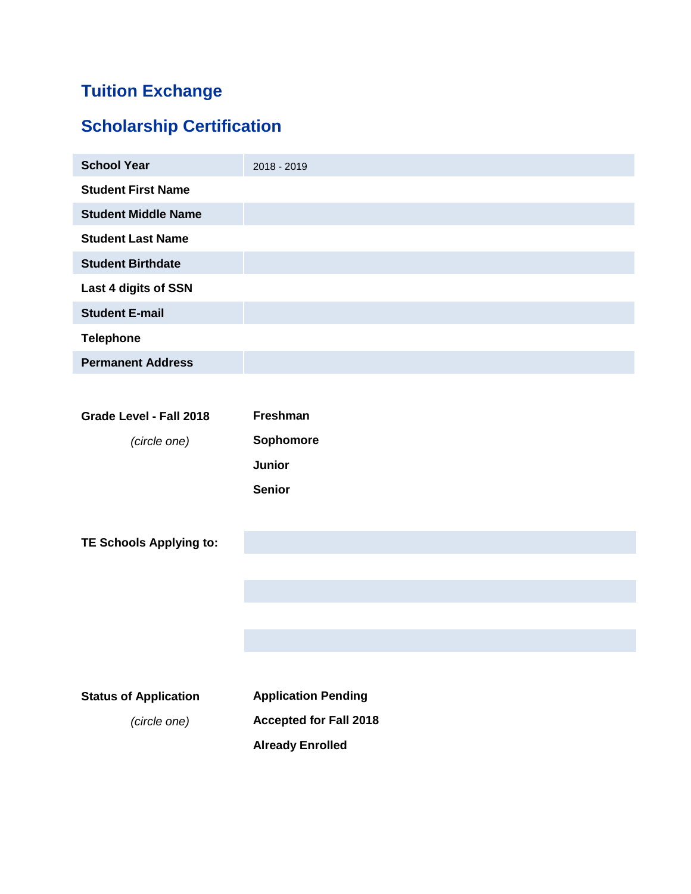# **Tuition Exchange**

# **Scholarship Certification**

| <b>School Year</b>         | 2018 - 2019 |
|----------------------------|-------------|
| <b>Student First Name</b>  |             |
| <b>Student Middle Name</b> |             |
| <b>Student Last Name</b>   |             |
| <b>Student Birthdate</b>   |             |
| Last 4 digits of SSN       |             |
| <b>Student E-mail</b>      |             |
| <b>Telephone</b>           |             |
| <b>Permanent Address</b>   |             |

| Grade Level - Fall 2018 | <b>Freshman</b>  |
|-------------------------|------------------|
| (circle one)            | <b>Sophomore</b> |
|                         | Junior           |
|                         | <b>Senior</b>    |

**TE Schools Applying to:**

| <b>Status of Application</b> | <b>Application Pending</b>    |  |
|------------------------------|-------------------------------|--|
| (circle one)                 | <b>Accepted for Fall 2018</b> |  |
|                              | <b>Already Enrolled</b>       |  |